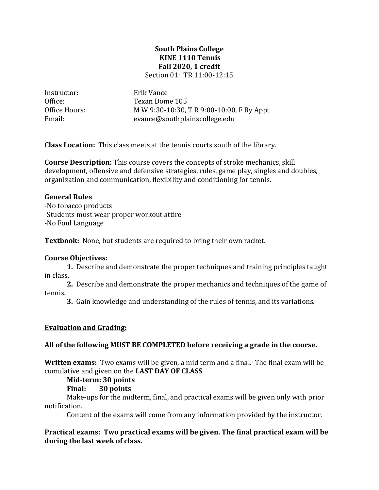#### **South Plains College KINE 1110 Tennis Fall 2020, 1 credit** Section 01: TR 11:00-12:15

Instructor: Erik Vance<br>Office: Texan Dom

Office: Texan Dome 105<br>Office Hours: MW 9:30-10:30. Office Hours: MW 9:30-10:30, T R 9:00-10:00, F By Appt<br>Email: evance@southplainscollege.edu evance@southplainscollege.edu

**Class Location:** This class meets at the tennis courts south of the library.

**Course Description:** This course covers the concepts of stroke mechanics, skill development, offensive and defensive strategies, rules, game play, singles and doubles, organization and communication, flexibility and conditioning for tennis.

### **General Rules**

-No tobacco products -Students must wear proper workout attire -No Foul Language

**Textbook:** None, but students are required to bring their own racket.

### **Course Objectives:**

**1.** Describe and demonstrate the proper techniques and training principles taught in class.

**2.** Describe and demonstrate the proper mechanics and techniques of the game of tennis.

**3.** Gain knowledge and understanding of the rules of tennis, and its variations.

### **Evaluation and Grading:**

### **All of the following MUST BE COMPLETED before receiving a grade in the course.**

**Written exams:** Two exams will be given, a mid term and a final. The final exam will be cumulative and given on the **LAST DAY OF CLASS**

#### **Mid-term: 30 points**

### **Final: 30 points**

Make-ups for the midterm, final, and practical exams will be given only with prior notification.

Content of the exams will come from any information provided by the instructor.

### **Practical exams: Two practical exams will be given. The final practical exam will be during the last week of class.**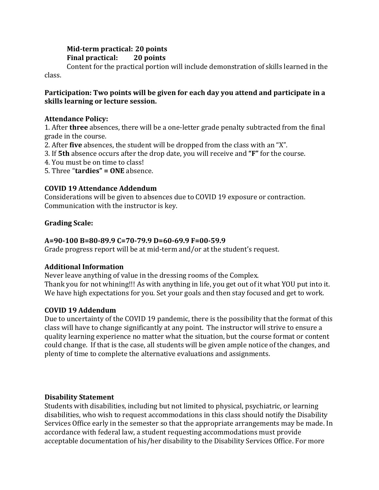# **Mid-term practical: 20 points Final practical: 20 points**

Content for the practical portion will include demonstration of skills learned in the class.

## **Participation: Two points will be given for each day you attend and participate in a skills learning or lecture session.**

# **Attendance Policy:**

1. After **three** absences, there will be a one-letter grade penalty subtracted from the final grade in the course.

- 2. After **five** absences, the student will be dropped from the class with an "X".
- 3. If **5th** absence occurs after the drop date, you will receive and **"F"** for the course.
- 4. You must be on time to class!
- 5. Three "**tardies" = ONE** absence.

# **COVID 19 Attendance Addendum**

Considerations will be given to absences due to COVID 19 exposure or contraction. Communication with the instructor is key.

# **Grading Scale:**

# **A=90-100 B=80-89.9 C=70-79.9 D=60-69.9 F=00-59.9**

Grade progress report will be at mid-term and/or at the student's request.

# **Additional Information**

Never leave anything of value in the dressing rooms of the Complex. Thank you for not whining!!! As with anything in life, you get out of it what YOU put into it. We have high expectations for you. Set your goals and then stay focused and get to work.

# **COVID 19 Addendum**

Due to uncertainty of the COVID 19 pandemic, there is the possibility that the format of this class will have to change significantly at any point. The instructor will strive to ensure a quality learning experience no matter what the situation, but the course format or content could change. If that is the case, all students will be given ample notice of the changes, and plenty of time to complete the alternative evaluations and assignments.

# **Disability Statement**

Students with disabilities, including but not limited to physical, psychiatric, or learning disabilities, who wish to request accommodations in this class should notify the Disability Services Office early in the semester so that the appropriate arrangements may be made. In accordance with federal law, a student requesting accommodations must provide acceptable documentation of his/her disability to the Disability Services Office. For more